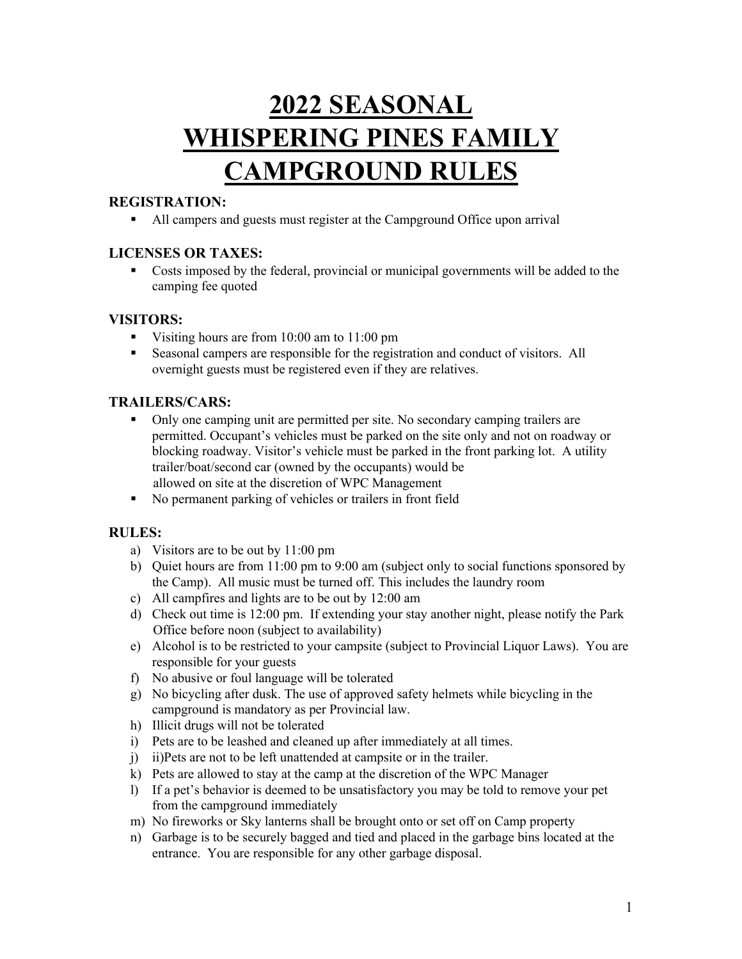# **2022 SEASONAL WHISPERING PINES FAMILY CAMPGROUND RULES**

# **REGISTRATION:**

■ All campers and guests must register at the Campground Office upon arrival

## **LICENSES OR TAXES:**

• Costs imposed by the federal, provincial or municipal governments will be added to the camping fee quoted

#### **VISITORS:**

- § Visiting hours are from 10:00 am to 11:00 pm
- Seasonal campers are responsible for the registration and conduct of visitors. All overnight guests must be registered even if they are relatives.

## **TRAILERS/CARS:**

- § Only one camping unit are permitted per site. No secondary camping trailers are permitted. Occupant's vehicles must be parked on the site only and not on roadway or blocking roadway. Visitor's vehicle must be parked in the front parking lot. A utility trailer/boat/second car (owned by the occupants) would be allowed on site at the discretion of WPC Management
- § No permanent parking of vehicles or trailers in front field

#### **RULES:**

- a) Visitors are to be out by 11:00 pm
- b) Quiet hours are from 11:00 pm to 9:00 am (subject only to social functions sponsored by the Camp). All music must be turned off. This includes the laundry room
- c) All campfires and lights are to be out by 12:00 am
- d) Check out time is 12:00 pm. If extending your stay another night, please notify the Park Office before noon (subject to availability)
- e) Alcohol is to be restricted to your campsite (subject to Provincial Liquor Laws). You are responsible for your guests
- f) No abusive or foul language will be tolerated
- g) No bicycling after dusk. The use of approved safety helmets while bicycling in the campground is mandatory as per Provincial law.
- h) Illicit drugs will not be tolerated
- i) Pets are to be leashed and cleaned up after immediately at all times.
- j) ii)Pets are not to be left unattended at campsite or in the trailer.
- k) Pets are allowed to stay at the camp at the discretion of the WPC Manager
- l) If a pet's behavior is deemed to be unsatisfactory you may be told to remove your pet from the campground immediately
- m) No fireworks or Sky lanterns shall be brought onto or set off on Camp property
- n) Garbage is to be securely bagged and tied and placed in the garbage bins located at the entrance. You are responsible for any other garbage disposal.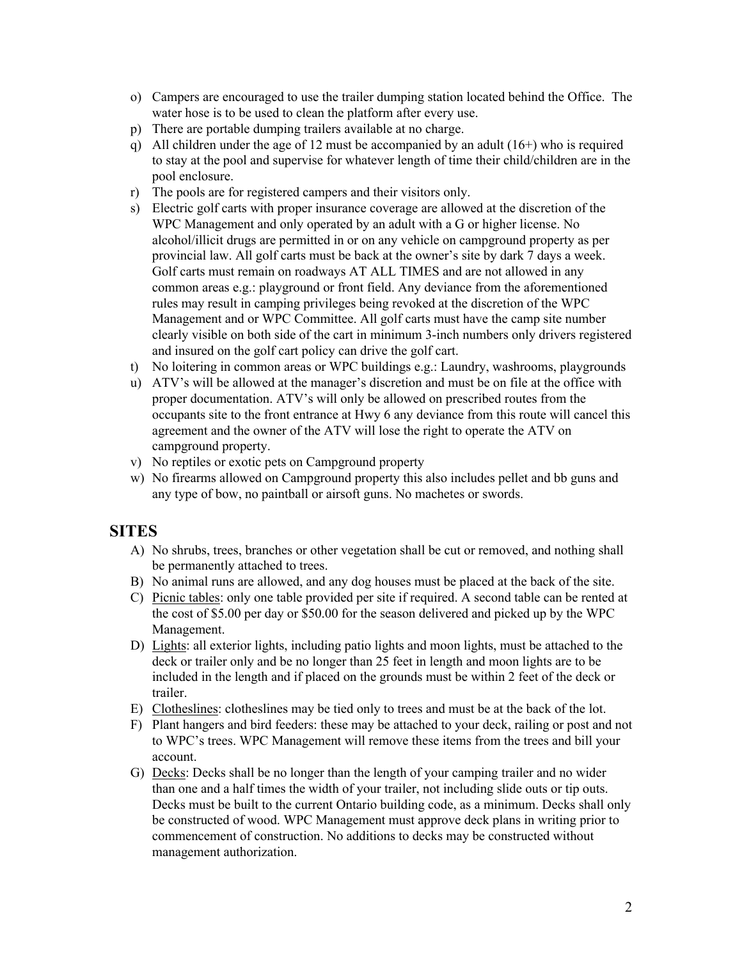- o) Campers are encouraged to use the trailer dumping station located behind the Office. The water hose is to be used to clean the platform after every use.
- p) There are portable dumping trailers available at no charge.
- q) All children under the age of 12 must be accompanied by an adult (16+) who is required to stay at the pool and supervise for whatever length of time their child/children are in the pool enclosure.
- r) The pools are for registered campers and their visitors only.
- s) Electric golf carts with proper insurance coverage are allowed at the discretion of the WPC Management and only operated by an adult with a G or higher license. No alcohol/illicit drugs are permitted in or on any vehicle on campground property as per provincial law. All golf carts must be back at the owner's site by dark 7 days a week. Golf carts must remain on roadways AT ALL TIMES and are not allowed in any common areas e.g.: playground or front field. Any deviance from the aforementioned rules may result in camping privileges being revoked at the discretion of the WPC Management and or WPC Committee. All golf carts must have the camp site number clearly visible on both side of the cart in minimum 3-inch numbers only drivers registered and insured on the golf cart policy can drive the golf cart.
- t) No loitering in common areas or WPC buildings e.g.: Laundry, washrooms, playgrounds
- u) ATV's will be allowed at the manager's discretion and must be on file at the office with proper documentation. ATV's will only be allowed on prescribed routes from the occupants site to the front entrance at Hwy 6 any deviance from this route will cancel this agreement and the owner of the ATV will lose the right to operate the ATV on campground property.
- v) No reptiles or exotic pets on Campground property
- w) No firearms allowed on Campground property this also includes pellet and bb guns and any type of bow, no paintball or airsoft guns. No machetes or swords.

# **SITES**

- A) No shrubs, trees, branches or other vegetation shall be cut or removed, and nothing shall be permanently attached to trees.
- B) No animal runs are allowed, and any dog houses must be placed at the back of the site.
- C) Picnic tables: only one table provided per site if required. A second table can be rented at the cost of \$5.00 per day or \$50.00 for the season delivered and picked up by the WPC Management.
- D) Lights: all exterior lights, including patio lights and moon lights, must be attached to the deck or trailer only and be no longer than 25 feet in length and moon lights are to be included in the length and if placed on the grounds must be within 2 feet of the deck or trailer.
- E) Clotheslines: clotheslines may be tied only to trees and must be at the back of the lot.
- F) Plant hangers and bird feeders: these may be attached to your deck, railing or post and not to WPC's trees. WPC Management will remove these items from the trees and bill your account.
- G) Decks: Decks shall be no longer than the length of your camping trailer and no wider than one and a half times the width of your trailer, not including slide outs or tip outs. Decks must be built to the current Ontario building code, as a minimum. Decks shall only be constructed of wood. WPC Management must approve deck plans in writing prior to commencement of construction. No additions to decks may be constructed without management authorization.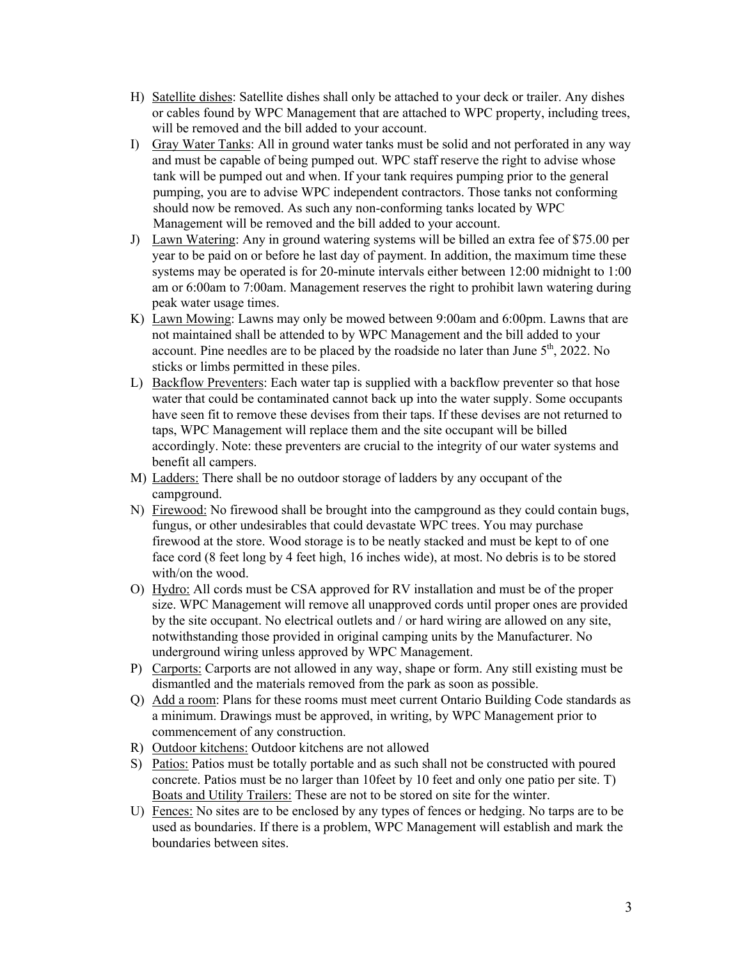- H) Satellite dishes: Satellite dishes shall only be attached to your deck or trailer. Any dishes or cables found by WPC Management that are attached to WPC property, including trees, will be removed and the bill added to your account.
- I) Gray Water Tanks: All in ground water tanks must be solid and not perforated in any way and must be capable of being pumped out. WPC staff reserve the right to advise whose tank will be pumped out and when. If your tank requires pumping prior to the general pumping, you are to advise WPC independent contractors. Those tanks not conforming should now be removed. As such any non-conforming tanks located by WPC Management will be removed and the bill added to your account.
- J) Lawn Watering: Any in ground watering systems will be billed an extra fee of \$75.00 per year to be paid on or before he last day of payment. In addition, the maximum time these systems may be operated is for 20-minute intervals either between 12:00 midnight to 1:00 am or 6:00am to 7:00am. Management reserves the right to prohibit lawn watering during peak water usage times.
- K) Lawn Mowing: Lawns may only be mowed between 9:00am and 6:00pm. Lawns that are not maintained shall be attended to by WPC Management and the bill added to your account. Pine needles are to be placed by the roadside no later than June  $5<sup>th</sup>$ , 2022. No sticks or limbs permitted in these piles.
- L) Backflow Preventers: Each water tap is supplied with a backflow preventer so that hose water that could be contaminated cannot back up into the water supply. Some occupants have seen fit to remove these devises from their taps. If these devises are not returned to taps, WPC Management will replace them and the site occupant will be billed accordingly. Note: these preventers are crucial to the integrity of our water systems and benefit all campers.
- M) Ladders: There shall be no outdoor storage of ladders by any occupant of the campground.
- N) Firewood: No firewood shall be brought into the campground as they could contain bugs, fungus, or other undesirables that could devastate WPC trees. You may purchase firewood at the store. Wood storage is to be neatly stacked and must be kept to of one face cord (8 feet long by 4 feet high, 16 inches wide), at most. No debris is to be stored with/on the wood.
- O) Hydro: All cords must be CSA approved for RV installation and must be of the proper size. WPC Management will remove all unapproved cords until proper ones are provided by the site occupant. No electrical outlets and / or hard wiring are allowed on any site, notwithstanding those provided in original camping units by the Manufacturer. No underground wiring unless approved by WPC Management.
- P) Carports: Carports are not allowed in any way, shape or form. Any still existing must be dismantled and the materials removed from the park as soon as possible.
- Q) Add a room: Plans for these rooms must meet current Ontario Building Code standards as a minimum. Drawings must be approved, in writing, by WPC Management prior to commencement of any construction.
- R) Outdoor kitchens: Outdoor kitchens are not allowed
- S) Patios: Patios must be totally portable and as such shall not be constructed with poured concrete. Patios must be no larger than 10feet by 10 feet and only one patio per site. T) Boats and Utility Trailers: These are not to be stored on site for the winter.
- U) Fences: No sites are to be enclosed by any types of fences or hedging. No tarps are to be used as boundaries. If there is a problem, WPC Management will establish and mark the boundaries between sites.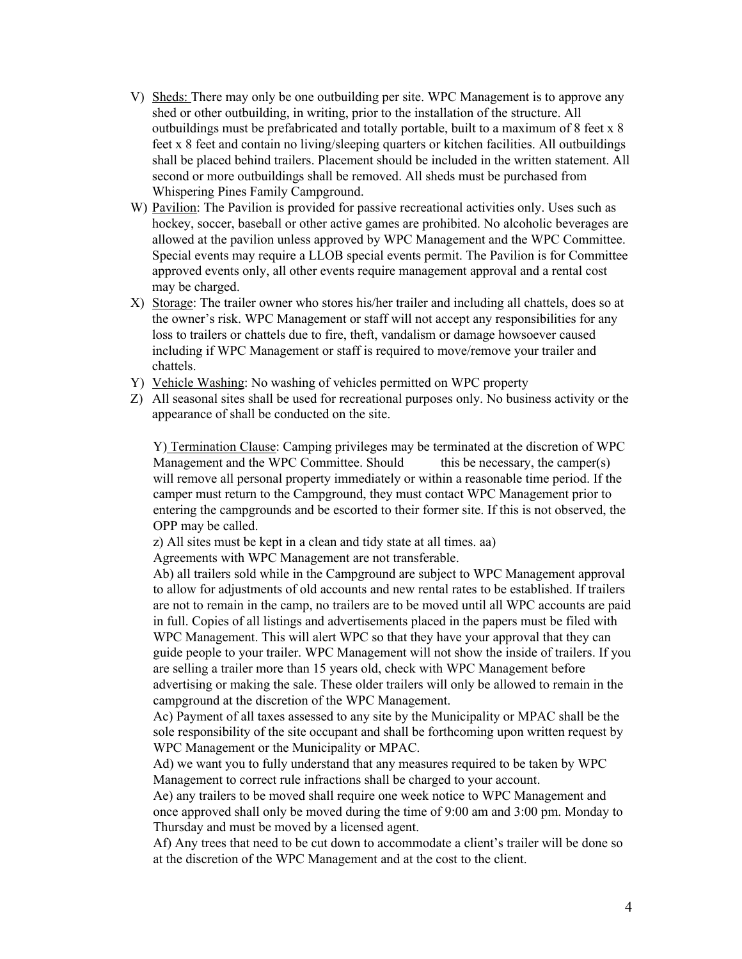- V) Sheds: There may only be one outbuilding per site. WPC Management is to approve any shed or other outbuilding, in writing, prior to the installation of the structure. All outbuildings must be prefabricated and totally portable, built to a maximum of 8 feet x 8 feet x 8 feet and contain no living/sleeping quarters or kitchen facilities. All outbuildings shall be placed behind trailers. Placement should be included in the written statement. All second or more outbuildings shall be removed. All sheds must be purchased from Whispering Pines Family Campground.
- W) Pavilion: The Pavilion is provided for passive recreational activities only. Uses such as hockey, soccer, baseball or other active games are prohibited. No alcoholic beverages are allowed at the pavilion unless approved by WPC Management and the WPC Committee. Special events may require a LLOB special events permit. The Pavilion is for Committee approved events only, all other events require management approval and a rental cost may be charged.
- X) Storage: The trailer owner who stores his/her trailer and including all chattels, does so at the owner's risk. WPC Management or staff will not accept any responsibilities for any loss to trailers or chattels due to fire, theft, vandalism or damage howsoever caused including if WPC Management or staff is required to move/remove your trailer and chattels.
- Y) Vehicle Washing: No washing of vehicles permitted on WPC property
- Z) All seasonal sites shall be used for recreational purposes only. No business activity or the appearance of shall be conducted on the site.

Y) Termination Clause: Camping privileges may be terminated at the discretion of WPC Management and the WPC Committee. Should this be necessary, the camper(s) will remove all personal property immediately or within a reasonable time period. If the camper must return to the Campground, they must contact WPC Management prior to entering the campgrounds and be escorted to their former site. If this is not observed, the OPP may be called.

z) All sites must be kept in a clean and tidy state at all times. aa)

Agreements with WPC Management are not transferable.

Ab) all trailers sold while in the Campground are subject to WPC Management approval to allow for adjustments of old accounts and new rental rates to be established. If trailers are not to remain in the camp, no trailers are to be moved until all WPC accounts are paid in full. Copies of all listings and advertisements placed in the papers must be filed with WPC Management. This will alert WPC so that they have your approval that they can guide people to your trailer. WPC Management will not show the inside of trailers. If you are selling a trailer more than 15 years old, check with WPC Management before advertising or making the sale. These older trailers will only be allowed to remain in the campground at the discretion of the WPC Management.

Ac) Payment of all taxes assessed to any site by the Municipality or MPAC shall be the sole responsibility of the site occupant and shall be forthcoming upon written request by WPC Management or the Municipality or MPAC.

Ad) we want you to fully understand that any measures required to be taken by WPC Management to correct rule infractions shall be charged to your account.

Ae) any trailers to be moved shall require one week notice to WPC Management and once approved shall only be moved during the time of 9:00 am and 3:00 pm. Monday to Thursday and must be moved by a licensed agent.

Af) Any trees that need to be cut down to accommodate a client's trailer will be done so at the discretion of the WPC Management and at the cost to the client.